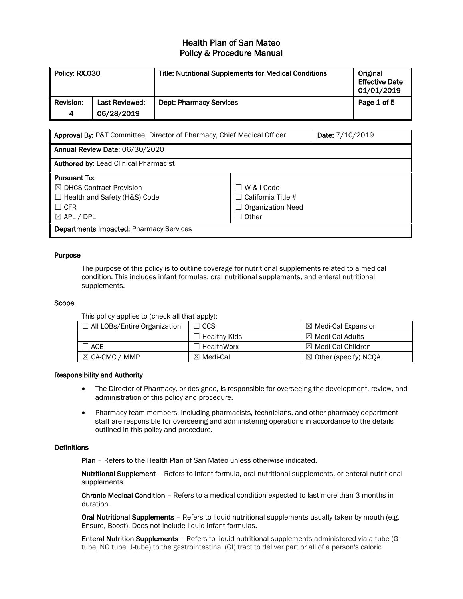| Policy: RX.030    |                              | <b>Title: Nutritional Supplements for Medical Conditions</b> | Original<br><b>Effective Date</b><br>  01/01/2019 |
|-------------------|------------------------------|--------------------------------------------------------------|---------------------------------------------------|
| ll Revision:<br>4 | Last Reviewed:<br>06/28/2019 | <b>Dept: Pharmacy Services</b>                               | Page 1 of 5                                       |

| Approval By: P&T Committee, Director of Pharmacy, Chief Medical Officer | Date: 7/10/2019           |  |  |  |
|-------------------------------------------------------------------------|---------------------------|--|--|--|
| Annual Review Date: 06/30/2020                                          |                           |  |  |  |
| <b>Authored by: Lead Clinical Pharmacist</b>                            |                           |  |  |  |
| <b>Pursuant To:</b>                                                     |                           |  |  |  |
| ⊠ DHCS Contract Provision                                               | W & I Code<br>$\Box$      |  |  |  |
| $\Box$ Health and Safety (H&S) Code                                     | $\Box$ California Title # |  |  |  |
| $\Box$ CFR                                                              | $\Box$ Organization Need  |  |  |  |
| $\boxtimes$ APL / DPL<br>$\Box$ Other                                   |                           |  |  |  |
| <b>Departments Impacted: Pharmacy Services</b>                          |                           |  |  |  |

### Purpose

The purpose of this policy is to outline coverage for nutritional supplements related to a medical condition. This includes infant formulas, oral nutritional supplements, and enteral nutritional supplements.

#### Scope

This policy applies to (check all that apply):

| $\Box$ All LOBs/Entire Organization | ∣ CCS               | $\boxtimes$ Medi-Cal Expansion   |
|-------------------------------------|---------------------|----------------------------------|
|                                     | $\Box$ Healthy Kids | $\boxtimes$ Medi-Cal Adults      |
| ]ACE                                | $\Box$ HealthWorx   | $\boxtimes$ Medi-Cal Children    |
| $\boxtimes$ CA-CMC / MMP            | ⊠ Medi-Cal          | $\boxtimes$ Other (specify) NCQA |

#### Responsibility and Authority

- The Director of Pharmacy, or designee, is responsible for overseeing the development, review, and administration of this policy and procedure.
- Pharmacy team members, including pharmacists, technicians, and other pharmacy department staff are responsible for overseeing and administering operations in accordance to the details outlined in this policy and procedure.

#### **Definitions**

Plan - Refers to the Health Plan of San Mateo unless otherwise indicated.

Nutritional Supplement – Refers to infant formula, oral nutritional supplements, or enteral nutritional supplements.

Chronic Medical Condition – Refers to a medical condition expected to last more than 3 months in duration.

Oral Nutritional Supplements - Refers to liquid nutritional supplements usually taken by mouth (e.g. Ensure, Boost). Does not include liquid infant formulas.

Enteral Nutrition Supplements – Refers to liquid nutritional supplements administered via a tube (Gtube, NG tube, J-tube) to the gastrointestinal (GI) tract to deliver part or all of a person's caloric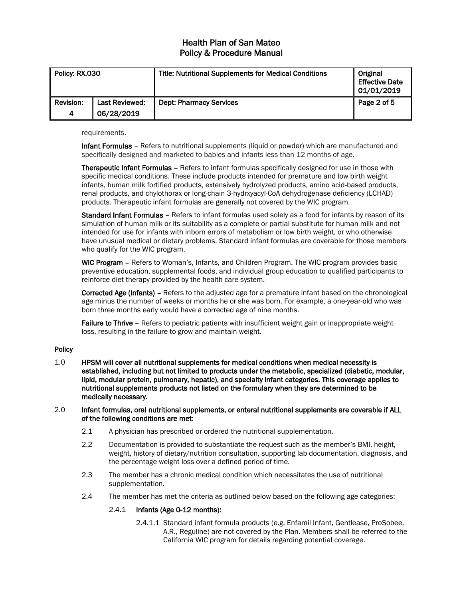| Policy: RX.030 |                | <b>Title: Nutritional Supplements for Medical Conditions</b> | Original<br><b>Effective Date</b><br>  01/01/2019 |
|----------------|----------------|--------------------------------------------------------------|---------------------------------------------------|
| Revision:      | Last Reviewed: | <b>Dept: Pharmacy Services</b>                               | Page 2 of 5                                       |
| 4              | 06/28/2019     |                                                              |                                                   |

requirements.

Infant Formulas – Refers to nutritional supplements (liquid or powder) which are manufactured and specifically designed and marketed to babies and infants less than 12 months of age.

Therapeutic Infant Formulas – Refers to infant formulas specifically designed for use in those with specific medical conditions. These include products intended for premature and low birth weight infants, human milk fortified products, extensively hydrolyzed products, amino acid-based products, renal products, and chylothorax or long-chain 3-hydrxyacyl-CoA dehydrogenase deficiency (LCHAD) products. Therapeutic infant formulas are generally not covered by the WIC program.

Standard Infant Formulas – Refers to infant formulas used solely as a food for infants by reason of its simulation of human milk or its suitability as a complete or partial substitute for human milk and not intended for use for infants with inborn errors of metabolism or low birth weight, or who otherwise have unusual medical or dietary problems. Standard infant formulas are coverable for those members who qualify for the WIC program.

WIC Program - Refers to Woman's, Infants, and Children Program. The WIC program provides basic preventive education, supplemental foods, and individual group education to qualified participants to reinforce diet therapy provided by the health care system.

Corrected Age (Infants) – Refers to the adjusted age for a premature infant based on the chronological age minus the number of weeks or months he or she was born. For example, a one-year-old who was born three months early would have a corrected age of nine months.

Failure to Thrive – Refers to pediatric patients with insufficient weight gain or inappropriate weight loss, resulting in the failure to grow and maintain weight.

### **Policy**

1.0 HPSM will cover all nutritional supplements for medical conditions when medical necessity is established, including but not limited to products under the metabolic, specialized (diabetic, modular, lipid, modular protein, pulmonary, hepatic), and specialty infant categories. This coverage applies to nutritional supplements products not listed on the formulary when they are determined to be medically necessary.

#### 2.0 Infant formulas, oral nutritional supplements, or enteral nutritional supplements are coverable if ALL of the following conditions are met:

- 2.1 A physician has prescribed or ordered the nutritional supplementation.
- 2.2 Documentation is provided to substantiate the request such as the member's BMI, height, weight, history of dietary/nutrition consultation, supporting lab documentation, diagnosis, and the percentage weight loss over a defined period of time.
- 2.3 The member has a chronic medical condition which necessitates the use of nutritional supplementation.
- 2.4 The member has met the criteria as outlined below based on the following age categories:

### 2.4.1 Infants (Age 0-12 months):

2.4.1.1 Standard infant formula products (e.g. Enfamil Infant, Gentlease, ProSobee, A.R., Reguline) are not covered by the Plan. Members shall be referred to the California WIC program for details regarding potential coverage.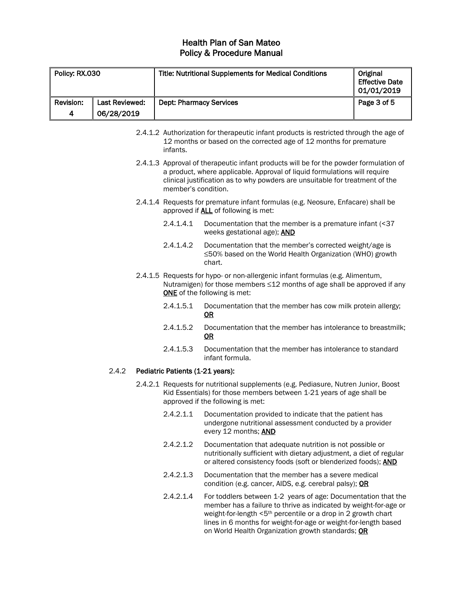| Policy: RX.030 |                | <b>Title: Nutritional Supplements for Medical Conditions</b> | Original<br><b>Effective Date</b><br>  01/01/2019 |
|----------------|----------------|--------------------------------------------------------------|---------------------------------------------------|
| Revision:      | Last Reviewed: | <b>Dept: Pharmacy Services</b>                               | Page 3 of 5                                       |
| 4              | 06/28/2019     |                                                              |                                                   |

- 2.4.1.2 Authorization for therapeutic infant products is restricted through the age of 12 months or based on the corrected age of 12 months for premature infants.
- 2.4.1.3 Approval of therapeutic infant products will be for the powder formulation of a product, where applicable. Approval of liquid formulations will require clinical justification as to why powders are unsuitable for treatment of the member's condition.
- 2.4.1.4 Requests for premature infant formulas (e.g. Neosure, Enfacare) shall be approved if **ALL** of following is met:
	- 2.4.1.4.1 Documentation that the member is a premature infant (<37 weeks gestational age); **AND**
	- 2.4.1.4.2 Documentation that the member's corrected weight/age is ≤50% based on the World Health Organization (WHO) growth chart.
- 2.4.1.5 Requests for hypo- or non-allergenic infant formulas (e.g. Alimentum, Nutramigen) for those members ≤12 months of age shall be approved if any ONE of the following is met:
	- 2.4.1.5.1 Documentation that the member has cow milk protein allergy; OR
	- 2.4.1.5.2 Documentation that the member has intolerance to breastmilk; OR
	- 2.4.1.5.3 Documentation that the member has intolerance to standard infant formula.

### 2.4.2 Pediatric Patients (1-21 years):

- 2.4.2.1 Requests for nutritional supplements (e.g. Pediasure, Nutren Junior, Boost Kid Essentials) for those members between 1-21 years of age shall be approved if the following is met:
	- 2.4.2.1.1 Documentation provided to indicate that the patient has undergone nutritional assessment conducted by a provider every 12 months; AND
	- 2.4.2.1.2 Documentation that adequate nutrition is not possible or nutritionally sufficient with dietary adjustment, a diet of regular or altered consistency foods (soft or blenderized foods); AND
	- 2.4.2.1.3 Documentation that the member has a severe medical condition (e.g. cancer, AIDS, e.g. cerebral palsy); OR
	- 2.4.2.1.4 For toddlers between 1-2 years of age: Documentation that the member has a failure to thrive as indicated by weight-for-age or weight-for-length <5<sup>th</sup> percentile or a drop in 2 growth chart lines in 6 months for weight-for-age or weight-for-length based on World Health Organization growth standards; OR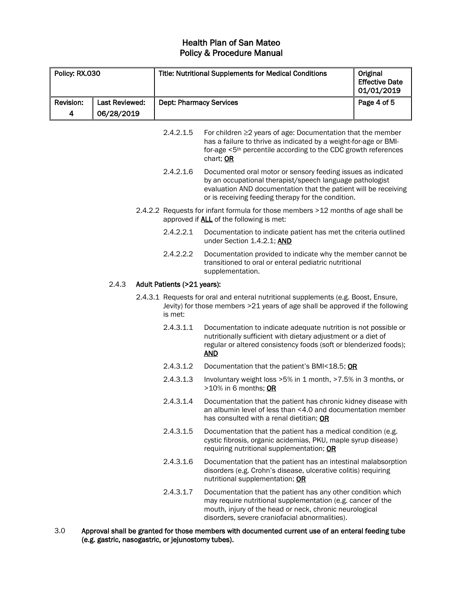| Policy: RX.030   |                       | <b>Title: Nutritional Supplements for Medical Conditions</b> |                                                                                                                                                                                                                                                   | Original<br><b>Effective Date</b><br>01/01/2019 |
|------------------|-----------------------|--------------------------------------------------------------|---------------------------------------------------------------------------------------------------------------------------------------------------------------------------------------------------------------------------------------------------|-------------------------------------------------|
| <b>Revision:</b> | <b>Last Reviewed:</b> | <b>Dept: Pharmacy Services</b>                               |                                                                                                                                                                                                                                                   | Page 4 of 5                                     |
| 4                | 06/28/2019            |                                                              |                                                                                                                                                                                                                                                   |                                                 |
|                  |                       | 2.4.2.1.5                                                    | For children $\geq$ 2 years of age: Documentation that the member<br>has a failure to thrive as indicated by a weight-for-age or BMI-<br>for-age <5 <sup>th</sup> percentile according to the CDC growth references<br>chart; OR                  |                                                 |
|                  |                       | 2.4.2.1.6                                                    | Documented oral motor or sensory feeding issues as indicated<br>by an occupational therapist/speech language pathologist<br>evaluation AND documentation that the patient will be receiving<br>or is receiving feeding therapy for the condition. |                                                 |
|                  |                       |                                                              | 2.4.2.2 Requests for infant formula for those members >12 months of age shall be<br>approved if <b>ALL</b> of the following is met:                                                                                                               |                                                 |
|                  |                       | 2.4.2.2.1                                                    | Documentation to indicate patient has met the criteria outlined<br>under Section 1.4.2.1; AND                                                                                                                                                     |                                                 |
|                  |                       | 2.4.2.2.2                                                    | Documentation provided to indicate why the member cannot be<br>transitioned to oral or enteral pediatric nutritional<br>supplementation.                                                                                                          |                                                 |
|                  | 2.4.3                 | Adult Patients (>21 years):                                  |                                                                                                                                                                                                                                                   |                                                 |
|                  |                       | is met:                                                      | 2.4.3.1 Requests for oral and enteral nutritional supplements (e.g. Boost, Ensure,<br>Jevity) for those members >21 years of age shall be approved if the following                                                                               |                                                 |
|                  |                       | 2.4.3.1.1                                                    | Documentation to indicate adequate nutrition is not possible or<br>nutritionally sufficient with dietary adjustment or a diet of<br>regular or altered consistency foods (soft or blenderized foods);<br><b>AND</b>                               |                                                 |
|                  |                       | 2.4.3.1.2                                                    | Documentation that the patient's BMI<18.5; OR                                                                                                                                                                                                     |                                                 |
|                  |                       | 2.4.3.1.3                                                    | Involuntary weight loss >5% in 1 month, >7.5% in 3 months, or<br>>10% in 6 months; OR                                                                                                                                                             |                                                 |
|                  |                       | 2.4.3.1.4                                                    | Documentation that the patient has chronic kidney disease with<br>an albumin level of less than <4.0 and documentation member<br>has consulted with a renal dietitian; OR                                                                         |                                                 |
|                  |                       | 2.4.3.1.5                                                    | Documentation that the patient has a medical condition (e.g.<br>cystic fibrosis, organic acidemias, PKU, maple syrup disease)<br>requiring nutritional supplementation; OR                                                                        |                                                 |
|                  |                       | 2.4.3.1.6                                                    | Documentation that the patient has an intestinal malabsorption<br>disorders (e.g. Crohn's disease, ulcerative colitis) requiring<br>nutritional supplementation; OR                                                                               |                                                 |
|                  |                       | 2.4.3.1.7                                                    | Documentation that the patient has any other condition which<br>may require nutritional supplementation (e.g. cancer of the<br>mouth, injury of the head or neck, chronic neurological<br>disorders, severe craniofacial abnormalities).          |                                                 |

3.0 Approval shall be granted for those members with documented current use of an enteral feeding tube (e.g. gastric, nasogastric, or jejunostomy tubes).